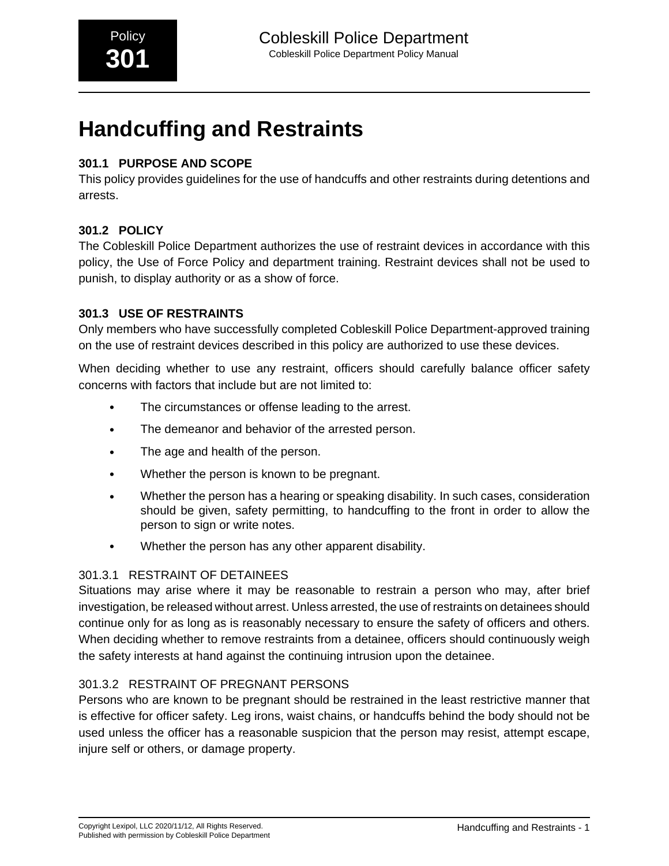# **301.1 PURPOSE AND SCOPE**

This policy provides guidelines for the use of handcuffs and other restraints during detentions and arrests.

## **301.2 POLICY**

The Cobleskill Police Department authorizes the use of restraint devices in accordance with this policy, the Use of Force Policy and department training. Restraint devices shall not be used to punish, to display authority or as a show of force.

## **301.3 USE OF RESTRAINTS**

Only members who have successfully completed Cobleskill Police Department-approved training on the use of restraint devices described in this policy are authorized to use these devices.

When deciding whether to use any restraint, officers should carefully balance officer safety concerns with factors that include but are not limited to:

- The circumstances or offense leading to the arrest.
- The demeanor and behavior of the arrested person.
- The age and health of the person.
- Whether the person is known to be pregnant.
- Whether the person has a hearing or speaking disability. In such cases, consideration should be given, safety permitting, to handcuffing to the front in order to allow the person to sign or write notes.
- Whether the person has any other apparent disability.

#### 301.3.1 RESTRAINT OF DETAINEES

Situations may arise where it may be reasonable to restrain a person who may, after brief investigation, be released without arrest. Unless arrested, the use of restraints on detainees should continue only for as long as is reasonably necessary to ensure the safety of officers and others. When deciding whether to remove restraints from a detainee, officers should continuously weigh the safety interests at hand against the continuing intrusion upon the detainee.

## 301.3.2 RESTRAINT OF PREGNANT PERSONS

Persons who are known to be pregnant should be restrained in the least restrictive manner that is effective for officer safety. Leg irons, waist chains, or handcuffs behind the body should not be used unless the officer has a reasonable suspicion that the person may resist, attempt escape, injure self or others, or damage property.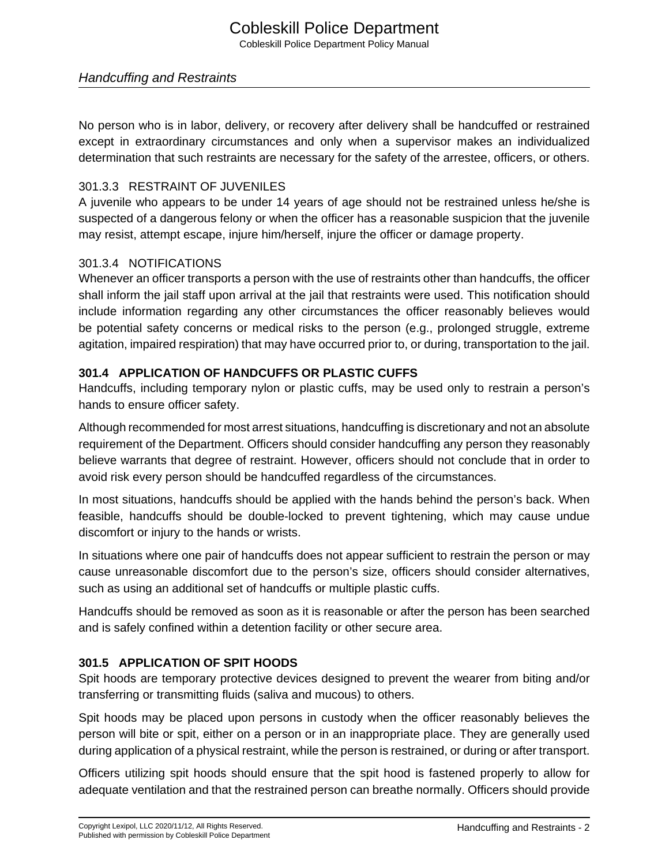No person who is in labor, delivery, or recovery after delivery shall be handcuffed or restrained except in extraordinary circumstances and only when a supervisor makes an individualized determination that such restraints are necessary for the safety of the arrestee, officers, or others.

#### 301.3.3 RESTRAINT OF JUVENILES

A juvenile who appears to be under 14 years of age should not be restrained unless he/she is suspected of a dangerous felony or when the officer has a reasonable suspicion that the juvenile may resist, attempt escape, injure him/herself, injure the officer or damage property.

#### 301.3.4 NOTIFICATIONS

Whenever an officer transports a person with the use of restraints other than handcuffs, the officer shall inform the jail staff upon arrival at the jail that restraints were used. This notification should include information regarding any other circumstances the officer reasonably believes would be potential safety concerns or medical risks to the person (e.g., prolonged struggle, extreme agitation, impaired respiration) that may have occurred prior to, or during, transportation to the jail.

## **301.4 APPLICATION OF HANDCUFFS OR PLASTIC CUFFS**

Handcuffs, including temporary nylon or plastic cuffs, may be used only to restrain a person's hands to ensure officer safety.

Although recommended for most arrest situations, handcuffing is discretionary and not an absolute requirement of the Department. Officers should consider handcuffing any person they reasonably believe warrants that degree of restraint. However, officers should not conclude that in order to avoid risk every person should be handcuffed regardless of the circumstances.

In most situations, handcuffs should be applied with the hands behind the person's back. When feasible, handcuffs should be double-locked to prevent tightening, which may cause undue discomfort or injury to the hands or wrists.

In situations where one pair of handcuffs does not appear sufficient to restrain the person or may cause unreasonable discomfort due to the person's size, officers should consider alternatives, such as using an additional set of handcuffs or multiple plastic cuffs.

Handcuffs should be removed as soon as it is reasonable or after the person has been searched and is safely confined within a detention facility or other secure area.

## **301.5 APPLICATION OF SPIT HOODS**

Spit hoods are temporary protective devices designed to prevent the wearer from biting and/or transferring or transmitting fluids (saliva and mucous) to others.

Spit hoods may be placed upon persons in custody when the officer reasonably believes the person will bite or spit, either on a person or in an inappropriate place. They are generally used during application of a physical restraint, while the person is restrained, or during or after transport.

Officers utilizing spit hoods should ensure that the spit hood is fastened properly to allow for adequate ventilation and that the restrained person can breathe normally. Officers should provide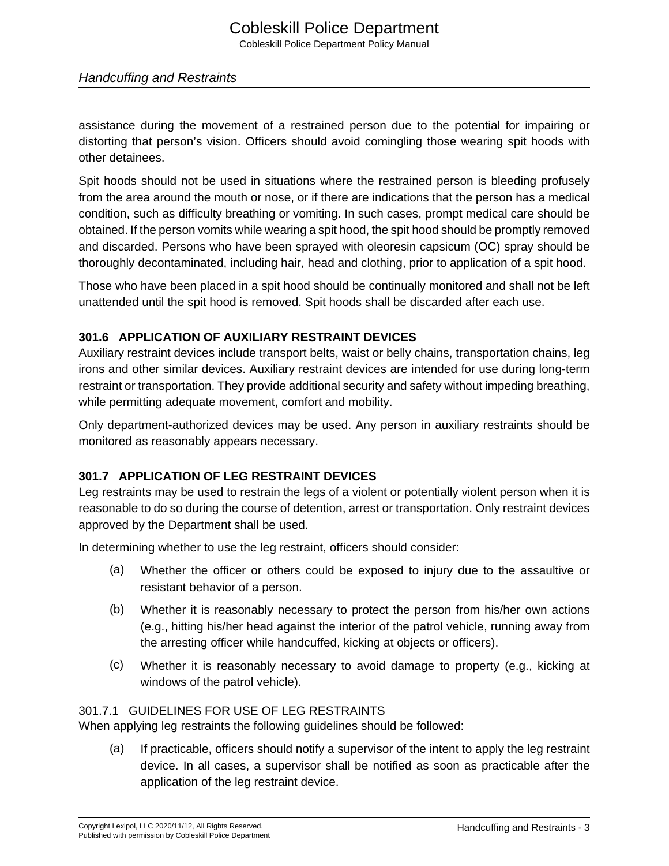assistance during the movement of a restrained person due to the potential for impairing or distorting that person's vision. Officers should avoid comingling those wearing spit hoods with other detainees.

Spit hoods should not be used in situations where the restrained person is bleeding profusely from the area around the mouth or nose, or if there are indications that the person has a medical condition, such as difficulty breathing or vomiting. In such cases, prompt medical care should be obtained. If the person vomits while wearing a spit hood, the spit hood should be promptly removed and discarded. Persons who have been sprayed with oleoresin capsicum (OC) spray should be thoroughly decontaminated, including hair, head and clothing, prior to application of a spit hood.

Those who have been placed in a spit hood should be continually monitored and shall not be left unattended until the spit hood is removed. Spit hoods shall be discarded after each use.

## **301.6 APPLICATION OF AUXILIARY RESTRAINT DEVICES**

Auxiliary restraint devices include transport belts, waist or belly chains, transportation chains, leg irons and other similar devices. Auxiliary restraint devices are intended for use during long-term restraint or transportation. They provide additional security and safety without impeding breathing, while permitting adequate movement, comfort and mobility.

Only department-authorized devices may be used. Any person in auxiliary restraints should be monitored as reasonably appears necessary.

## **301.7 APPLICATION OF LEG RESTRAINT DEVICES**

Leg restraints may be used to restrain the legs of a violent or potentially violent person when it is reasonable to do so during the course of detention, arrest or transportation. Only restraint devices approved by the Department shall be used.

In determining whether to use the leg restraint, officers should consider:

- (a) Whether the officer or others could be exposed to injury due to the assaultive or resistant behavior of a person.
- (b) Whether it is reasonably necessary to protect the person from his/her own actions (e.g., hitting his/her head against the interior of the patrol vehicle, running away from the arresting officer while handcuffed, kicking at objects or officers).
- (c) Whether it is reasonably necessary to avoid damage to property (e.g., kicking at windows of the patrol vehicle).

#### 301.7.1 GUIDELINES FOR USE OF LEG RESTRAINTS

When applying leg restraints the following guidelines should be followed:

(a) If practicable, officers should notify a supervisor of the intent to apply the leg restraint device. In all cases, a supervisor shall be notified as soon as practicable after the application of the leg restraint device.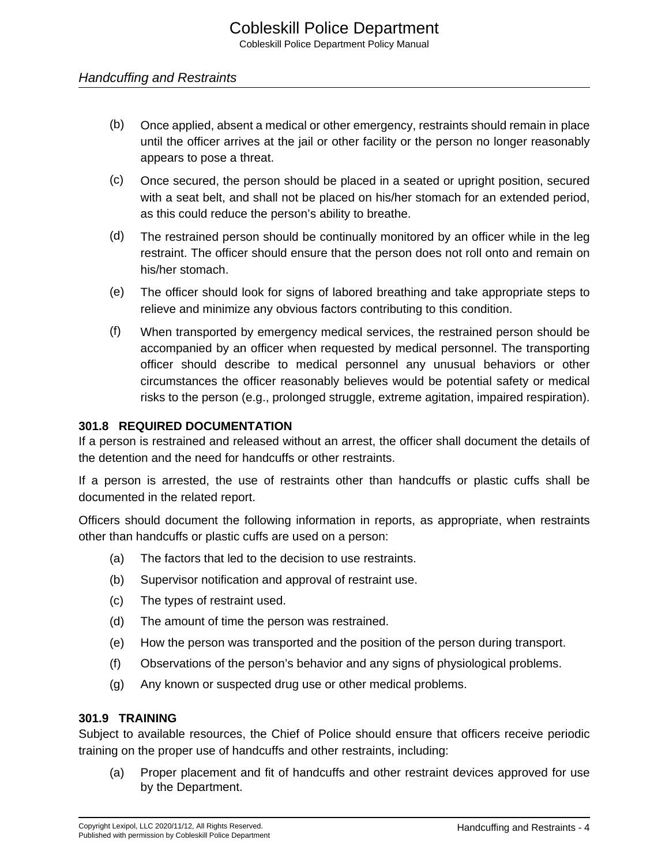- (b) Once applied, absent a medical or other emergency, restraints should remain in place until the officer arrives at the jail or other facility or the person no longer reasonably appears to pose a threat.
- (c) Once secured, the person should be placed in a seated or upright position, secured with a seat belt, and shall not be placed on his/her stomach for an extended period, as this could reduce the person's ability to breathe.
- (d) The restrained person should be continually monitored by an officer while in the leg restraint. The officer should ensure that the person does not roll onto and remain on his/her stomach.
- (e) The officer should look for signs of labored breathing and take appropriate steps to relieve and minimize any obvious factors contributing to this condition.
- (f) When transported by emergency medical services, the restrained person should be accompanied by an officer when requested by medical personnel. The transporting officer should describe to medical personnel any unusual behaviors or other circumstances the officer reasonably believes would be potential safety or medical risks to the person (e.g., prolonged struggle, extreme agitation, impaired respiration).

#### **301.8 REQUIRED DOCUMENTATION**

If a person is restrained and released without an arrest, the officer shall document the details of the detention and the need for handcuffs or other restraints.

If a person is arrested, the use of restraints other than handcuffs or plastic cuffs shall be documented in the related report.

Officers should document the following information in reports, as appropriate, when restraints other than handcuffs or plastic cuffs are used on a person:

- (a) The factors that led to the decision to use restraints.
- (b) Supervisor notification and approval of restraint use.
- (c) The types of restraint used.
- (d) The amount of time the person was restrained.
- (e) How the person was transported and the position of the person during transport.
- (f) Observations of the person's behavior and any signs of physiological problems.
- (g) Any known or suspected drug use or other medical problems.

#### **301.9 TRAINING**

Subject to available resources, the Chief of Police should ensure that officers receive periodic training on the proper use of handcuffs and other restraints, including:

(a) Proper placement and fit of handcuffs and other restraint devices approved for use by the Department.